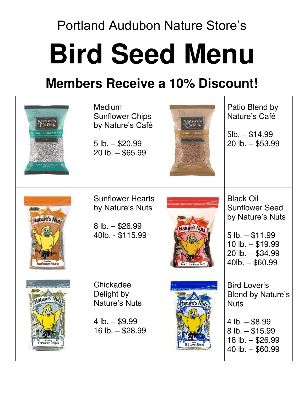## Portland Audubon Nature Store's **Bird Seed Menu**

## **Members Receive a 10% Discount!**

| ature                             | Medium<br><b>Sunflower Chips</b><br>by Nature's Café<br>$5$ lb. $-$ \$20.99<br>$20$ lb. $-$ \$65.99 | ature'<br>afé<br><b>itio Blend</b> | Patio Blend by<br>Nature's Café<br>$5lb. - $14.99$<br>$20$ lb. $-$ \$53.99                                                                             |
|-----------------------------------|-----------------------------------------------------------------------------------------------------|------------------------------------|--------------------------------------------------------------------------------------------------------------------------------------------------------|
| <b>Jature's Nute</b>              | <b>Sunflower Hearts</b><br>by Nature's Nuts<br>$8$ lb. $-$ \$26.99<br>40lb. - \$115.99              | Nature's Nute<br>ck Oil Sunflowe   | <b>Black Oil</b><br><b>Sunflower Seed</b><br>by Nature's Nuts<br>$5 lb. - $11.99$<br>10 lb. $- $19.99$<br>$20$ lb. $-$ \$34.99<br>$40$ lb. $-$ \$60.99 |
| Jature's Nut<br>Chickadee Delight | Chickadee<br>Delight by<br><b>Nature's Nuts</b><br>4 lb. $-$ \$9.99<br>16 lb. $-$ \$28.99           | <b>Bird Lovers Blend</b>           | <b>Bird Lover's</b><br><b>Blend by Nature's</b><br><b>Nuts</b><br>4 lb. $-$ \$8.99<br>$8$ lb. $-$ \$15.99<br>18 lb. $-$ \$26.99<br>40 lb. $-$ \$60.99  |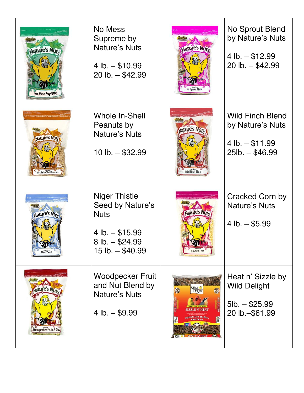| Nature's Nuts<br><b>Mess Supreme</b> | No Mess<br>Supreme by<br><b>Nature's Nuts</b><br>4 lb. $-$ \$10.99<br>$20$ lb. $-$ \$42.99                                | Nature's Nute                                                                                                  | No Sprout Blend<br>by Nature's Nuts<br>4 lb. $-$ \$12.99<br>$20$ lb. $-$ \$42.99     |
|--------------------------------------|---------------------------------------------------------------------------------------------------------------------------|----------------------------------------------------------------------------------------------------------------|--------------------------------------------------------------------------------------|
| Nature's Nut.<br>le In-Shell Peanuts | Whole In-Shell<br>Peanuts by<br>Nature's Nuts<br>10 lb. $-$ \$32.99                                                       | Nature's Nute                                                                                                  | <b>Wild Finch Blend</b><br>by Nature's Nuts<br>4 lb. $-$ \$11.99<br>$25lb. - $46.99$ |
| Nature's Nute<br>lyjer Seed          | <b>Niger Thistle</b><br>Seed by Nature's<br><b>Nuts</b><br>4 lb. $-$ \$15.99<br>$8$ lb. $-$ \$24.99<br>15 lb. $-$ \$40.99 | <b>ature's Nuts</b><br><b>Cracked Corn</b>                                                                     | <b>Cracked Corn by</b><br><b>Nature's Nuts</b><br>4 lb. $-$ \$5.99                   |
| Woodpecker Fruit & Nu                | <b>Woodpecker Fruit</b><br>and Nut Blend by<br><b>Nature's Nuts</b><br>4 lb. $-$ \$9.99                                   | Wild<br>Delight<br><b>SIZZLE N' HEAT</b><br>Squirrels Taste The Heat,<br>Birds Don't!<br><b>SIZZLE N' HEAT</b> | Heat n' Sizzle by<br><b>Wild Delight</b><br>$5lb. - $25.99$<br>20 lb. - \$61.99      |